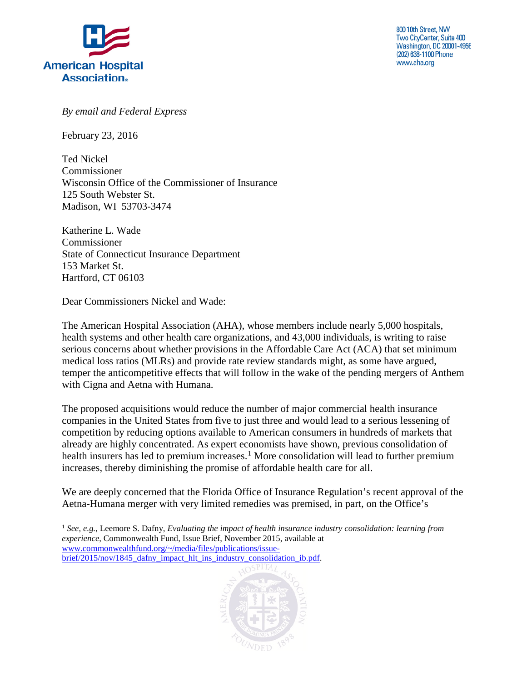

800 10th Street, NW Two CityCenter, Suite 400 **Washington, DC 20001-4956** (202) 638-1100 Phone www.aha.org

*By email and Federal Express*

February 23, 2016

Ted Nickel Commissioner Wisconsin Office of the Commissioner of Insurance 125 South Webster St. Madison, WI 53703-3474

Katherine L. Wade Commissioner State of Connecticut Insurance Department 153 Market St. Hartford, CT 06103

Dear Commissioners Nickel and Wade:

The American Hospital Association (AHA), whose members include nearly 5,000 hospitals, health systems and other health care organizations, and 43,000 individuals, is writing to raise serious concerns about whether provisions in the Affordable Care Act (ACA) that set minimum medical loss ratios (MLRs) and provide rate review standards might, as some have argued, temper the anticompetitive effects that will follow in the wake of the pending mergers of Anthem with Cigna and Aetna with Humana.

The proposed acquisitions would reduce the number of major commercial health insurance companies in the United States from five to just three and would lead to a serious lessening of competition by reducing options available to American consumers in hundreds of markets that already are highly concentrated. As expert economists have shown, previous consolidation of health insurers has led to premium increases.<sup>[1](#page-0-0)</sup> More consolidation will lead to further premium increases, thereby diminishing the promise of affordable health care for all.

We are deeply concerned that the Florida Office of Insurance Regulation's recent approval of the Aetna-Humana merger with very limited remedies was premised, in part, on the Office's

<span id="page-0-0"></span><sup>1</sup> *See, e.g.*, Leemore S. Dafny, *Evaluating the impact of health insurance industry consolidation: learning from experience*, Commonwealth Fund, Issue Brief, November 2015, available at [www.commonwealthfund.org/~/media/files/publications/issue](http://www.commonwealthfund.org/%7E/media/files/publications/issue-brief/2015/nov/1845_dafny_impact_hlt_ins_industry_consolidation_ib.pdf)[brief/2015/nov/1845\\_dafny\\_impact\\_hlt\\_ins\\_industry\\_consolidation\\_ib.pdf.](http://www.commonwealthfund.org/%7E/media/files/publications/issue-brief/2015/nov/1845_dafny_impact_hlt_ins_industry_consolidation_ib.pdf)

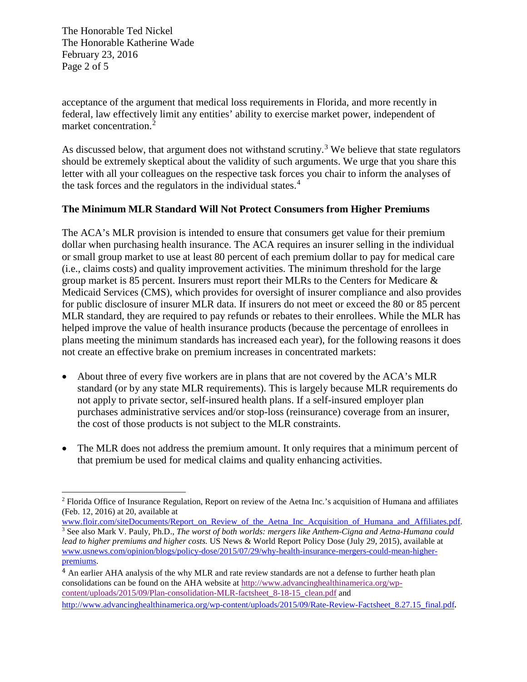The Honorable Ted Nickel The Honorable Katherine Wade February 23, 2016 Page 2 of 5

acceptance of the argument that medical loss requirements in Florida, and more recently in federal, law effectively limit any entities' ability to exercise market power, independent of market concentration.<sup>[2](#page-1-0)</sup>

As discussed below, that argument does not withstand scrutiny.<sup>[3](#page-1-1)</sup> We believe that state regulators should be extremely skeptical about the validity of such arguments. We urge that you share this letter with all your colleagues on the respective task forces you chair to inform the analyses of the task forces and the regulators in the individual states. $4$ 

## **The Minimum MLR Standard Will Not Protect Consumers from Higher Premiums**

The ACA's MLR provision is intended to ensure that consumers get value for their premium dollar when purchasing health insurance. The ACA requires an insurer selling in the individual or small group market to use at least 80 percent of each premium dollar to pay for medical care (i.e., claims costs) and quality improvement activities. The minimum threshold for the large group market is 85 percent. Insurers must report their MLRs to the Centers for Medicare & Medicaid Services (CMS), which provides for oversight of insurer compliance and also provides for public disclosure of insurer MLR data. If insurers do not meet or exceed the 80 or 85 percent MLR standard, they are required to pay refunds or rebates to their enrollees. While the MLR has helped improve the value of health insurance products (because the percentage of enrollees in plans meeting the minimum standards has increased each year), for the following reasons it does not create an effective brake on premium increases in concentrated markets:

- About three of every five workers are in plans that are not covered by the ACA's MLR standard (or by any state MLR requirements). This is largely because MLR requirements do not apply to private sector, self-insured health plans. If a self-insured employer plan purchases administrative services and/or stop-loss (reinsurance) coverage from an insurer, the cost of those products is not subject to the MLR constraints.
- The MLR does not address the premium amount. It only requires that a minimum percent of that premium be used for medical claims and quality enhancing activities.

<span id="page-1-0"></span><sup>2</sup> Florida Office of Insurance Regulation, Report on review of the Aetna Inc.'s acquisition of Humana and affiliates (Feb. 12, 2016) at 20, available at

<span id="page-1-1"></span>[www.floir.com/siteDocuments/Report\\_on\\_Review\\_of\\_the\\_Aetna\\_Inc\\_Acquisition\\_of\\_Humana\\_and\\_Affiliates.pdf.](http://www.floir.com/siteDocuments/Report_on_Review_of_the_Aetna_Inc_Acquisition_of_Humana_and_Affiliates.pdf) <sup>3</sup> See also Mark V. Pauly, Ph.D., *The worst of both worlds: mergers like Anthem-Cigna and Aetna-Humana could lead to higher premiums and higher costs.* US News & World Report Policy Dose (July 29, 2015), available at www.usnews.com/opinion/blogs/policy-dose/2015/07/29/why-health-insurance-mergers-could-mean-higherpremiums.

<span id="page-1-2"></span><sup>&</sup>lt;sup>4</sup> An earlier AHA analysis of the why MLR and rate review standards are not a defense to further heath plan consolidations can be found on the AHA website at [http://www.advancinghealthinamerica.org/wp](http://www.advancinghealthinamerica.org/wp-content/uploads/2015/09/Plan-consolidation-MLR-factsheet_8-18-15_clean.pdf)[content/uploads/2015/09/Plan-consolidation-MLR-factsheet\\_8-18-15\\_clean.pdf](http://www.advancinghealthinamerica.org/wp-content/uploads/2015/09/Plan-consolidation-MLR-factsheet_8-18-15_clean.pdf) and http://www.advancinghealthinamerica.org/wp-content/uploads/2015/09/Rate-Review-Factsheet 8.27.15 final.pdf.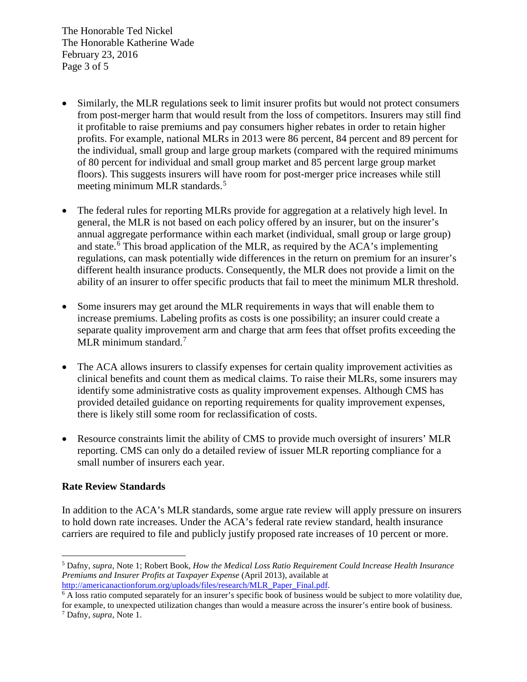The Honorable Ted Nickel The Honorable Katherine Wade February 23, 2016 Page 3 of 5

- Similarly, the MLR regulations seek to limit insurer profits but would not protect consumers from post-merger harm that would result from the loss of competitors. Insurers may still find it profitable to raise premiums and pay consumers higher rebates in order to retain higher profits. For example, national MLRs in 2013 were 86 percent, 84 percent and 89 percent for the individual, small group and large group markets (compared with the required minimums of 80 percent for individual and small group market and 85 percent large group market floors). This suggests insurers will have room for post-merger price increases while still meeting minimum MLR standards.<sup>[5](#page-2-0)</sup>
- The federal rules for reporting MLRs provide for aggregation at a relatively high level. In general, the MLR is not based on each policy offered by an insurer, but on the insurer's annual aggregate performance within each market (individual, small group or large group) and state.<sup>[6](#page-2-1)</sup> This broad application of the MLR, as required by the ACA's implementing regulations, can mask potentially wide differences in the return on premium for an insurer's different health insurance products. Consequently, the MLR does not provide a limit on the ability of an insurer to offer specific products that fail to meet the minimum MLR threshold.
- Some insurers may get around the MLR requirements in ways that will enable them to increase premiums. Labeling profits as costs is one possibility; an insurer could create a separate quality improvement arm and charge that arm fees that offset profits exceeding the MLR minimum standard.<sup>[7](#page-2-2)</sup>
- The ACA allows insurers to classify expenses for certain quality improvement activities as clinical benefits and count them as medical claims. To raise their MLRs, some insurers may identify some administrative costs as quality improvement expenses. Although CMS has provided detailed guidance on reporting requirements for quality improvement expenses, there is likely still some room for reclassification of costs.
- Resource constraints limit the ability of CMS to provide much oversight of insurers' MLR reporting. CMS can only do a detailed review of issuer MLR reporting compliance for a small number of insurers each year.

## **Rate Review Standards**

In addition to the ACA's MLR standards, some argue rate review will apply pressure on insurers to hold down rate increases. Under the ACA's federal rate review standard, health insurance carriers are required to file and publicly justify proposed rate increases of 10 percent or more.

<span id="page-2-1"></span><sup>6</sup> A loss ratio computed separately for an insurer's specific book of business would be subject to more volatility due, for example, to unexpected utilization changes than would a measure across the insurer's entire book of business.

<span id="page-2-0"></span><sup>5</sup> Dafny, *supra*, Note 1; Robert Book, *How the Medical Loss Ratio Requirement Could Increase Health Insurance Premiums and Insurer Profits at Taxpayer Expense* (April 2013), available at [http://americanactionforum.org/uploads/files/research/MLR\\_Paper\\_Final.pdf.](http://americanactionforum.org/uploads/files/research/MLR_Paper_Final.pdf)

<span id="page-2-2"></span><sup>7</sup> Dafny, *supra,* Note 1.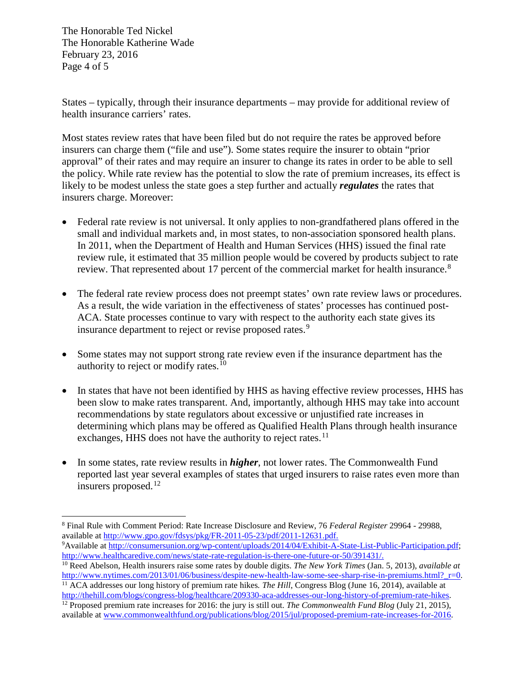The Honorable Ted Nickel The Honorable Katherine Wade February 23, 2016 Page 4 of 5

States – typically, through their insurance departments – may provide for additional review of health insurance carriers' rates.

Most states review rates that have been filed but do not require the rates be approved before insurers can charge them ("file and use"). Some states require the insurer to obtain "prior approval" of their rates and may require an insurer to change its rates in order to be able to sell the policy. While rate review has the potential to slow the rate of premium increases, its effect is likely to be modest unless the state goes a step further and actually *regulates* the rates that insurers charge. Moreover:

- Federal rate review is not universal. It only applies to non-grandfathered plans offered in the small and individual markets and, in most states, to non-association sponsored health plans. In 2011, when the Department of Health and Human Services (HHS) issued the final rate review rule, it estimated that 35 million people would be covered by products subject to rate review. That represented about 17 percent of the commercial market for health insurance.<sup>[8](#page-3-0)</sup>
- The federal rate review process does not preempt states' own rate review laws or procedures. As a result, the wide variation in the effectiveness of states' processes has continued post-ACA. State processes continue to vary with respect to the authority each state gives its insurance department to reject or revise proposed rates.<sup>[9](#page-3-1)</sup>
- Some states may not support strong rate review even if the insurance department has the authority to reject or modify rates.<sup>[10](#page-3-2)</sup>
- In states that have not been identified by HHS as having effective review processes, HHS has been slow to make rates transparent. And, importantly, although HHS may take into account recommendations by state regulators about excessive or unjustified rate increases in determining which plans may be offered as Qualified Health Plans through health insurance exchanges, HHS does not have the authority to reject rates.<sup>[11](#page-3-3)</sup>
- In some states, rate review results in *higher*, not lower rates. The Commonwealth Fund reported last year several examples of states that urged insurers to raise rates even more than insurers proposed.<sup>[12](#page-3-4)</sup>

<span id="page-3-1"></span><sup>9</sup> Available at [http://consumersunion.org/wp-content/uploads/2014/04/Exhibit-A-State-List-Public-Participation.pdf;](http://consumersunion.org/wp-content/uploads/2014/04/Exhibit-A-State-List-Public-Participation.pdf) [http://www.healthcaredive.com/news/state-rate-regulation-is-there-one-future-or-50/391431/.](http://www.healthcaredive.com/news/state-rate-regulation-is-there-one-future-or-50/391431/)

<span id="page-3-0"></span><sup>8</sup> Final Rule with Comment Period: Rate Increase Disclosure and Review, 76 *Federal Register* 29964 - 29988, available at [http://www.gpo.gov/fdsys/pkg/FR-2011-05-23/pdf/2011-12631.pdf.](http://www.gpo.gov/fdsys/pkg/FR-2011-05-23/pdf/2011-12631.pdf)

<span id="page-3-2"></span><sup>10</sup> Reed Abelson, Health insurers raise some rates by double digits. *The New York Times* (Jan. 5, 2013)*, available at* http://www.nytimes.com/2013/01/06/business/despite-new-health-law-some-see-sharp-rise-in-premiums.html? r=0. <sup>11</sup> ACA addresses our long history of premium rate hikes*. The Hill*, Congress Blog (June 16, 2014), available at

<span id="page-3-4"></span><span id="page-3-3"></span>[http://thehill.com/blogs/congress-blog/healthcare/209330-aca-addresses-our-long-history-of-premium-rate-hikes.](http://thehill.com/blogs/congress-blog/healthcare/209330-aca-addresses-our-long-history-of-premium-rate-hikes) <sup>12</sup> Proposed premium rate increases for 2016: the jury is still out. *The Commonwealth Fund Blog* (July 21, 2015), available at [www.commonwealthfund.org/publications/blog/2015/jul/proposed-premium-rate-increases-for-2016.](http://www.commonwealthfund.org/publications/blog/2015/jul/proposed-premium-rate-increases-for-2016)